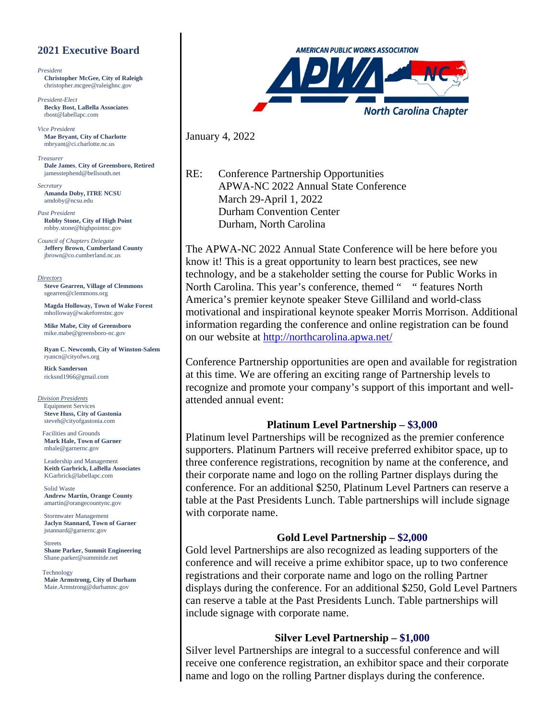### **2021 Executive Board**

*President* **Christopher McGee, City of Raleigh** [christopher.mcgee@raleighnc.gov](mailto:christopher.mcgee@raleighnc.gov)

*President-Elect* **Becky Bost, LaBella Associates** [rbost@labellapc.com](mailto:rbost@labellapc.com)

*Vice President* **Mae Bryant, City of Charlotte**  mbryant@ci.charlotte.nc.us

*Treasurer* **Dale James**, **City of Greensboro, Retired** [jamesstephend@bellsouth.net](mailto:jamesstephend@bellsouth.net)

*Secretary* **Amanda Doby, ITRE NCSU** [amdoby@ncsu.edu](mailto:amdoby@ncsu.edu)

*Past President* **Robby Stone, City of High Point** [robby.stone@highpointnc.gov](mailto:robby.stone@highpointnc.gov)

*Council of Chapters Delegate* **Jeffery Brown**, **Cumberland County** [jbrown@co.cumberland.nc.us](mailto:jbrown@co.cumberland.nc.us)

*Directors* **Steve Gearren, Village of Clemmons** [sgearren@clemmons.org](mailto:sgearren@clemmons.org)

**Magda Holloway, Town of Wake Forest** [mholloway@wakeforestnc.gov](mailto:mholloway@wakeforestnc.gov)

**Mike Mabe, City of Greensboro** [mike.mabe@greensboro-nc.gov](mailto:mike.mabe@greensboro-nc.gov)

**Ryan C. Newcomb, City of Winston-Salem** [ryancn@cityofws.org](mailto:ryancn@cityofws.org)

**Rick Sanderson** [ricksnd1966@gmail.com](mailto:ricksnd1966@gmail.com)

*Division Presidents* **Equipment Services Steve Huss, City of Gastonia** [steveh@cityofgastonia.com](mailto:steveh@cityofgastonia.com)

**Facilities and Grounds Mark Hale, Town of Garner** [mhale@garnernc.gov](mailto:mhale@garnernc.gov)

Leadership and Management **Keith Garbrick, LaBella Associates**  [KGarbrick@labellapc.com](mailto:KGarbrick@labellapc.com)

Solid Waste **Andrew Martin, Orange County**  [amartin@orangecountync.gov](mailto:amartin@orangecountync.gov)

Stormwater Management **Jaclyn Stannard, Town of Garner** [jstannard@garnernc.gov](mailto:jstannard@garnernc.gov)

**Streets Shane Parker, Summit Engineering**  [Shane.parker@summitde.net](mailto:Shane.parker@summitde.net)

Technology **Maie Armstrong, City of Durham** [Maie.Armstrong@durhamnc.gov](mailto:Maie.Armstrong@durhamnc.gov)



January 4, 2022

RE: Conference Partnership Opportunities APWA-NC 2022 Annual State Conference March 29-April 1, 2022 Durham Convention Center Durham, North Carolina

The APWA-NC 2022 Annual State Conference will be here before you know it! This is a great opportunity to learn best practices, see new technology, and be a stakeholder setting the course for Public Works in North Carolina. This year's conference, themed " " features North America's premier keynote speaker Steve Gilliland and world-class motivational and inspirational keynote speaker Morris Morrison. Additional information regarding the conference and online registration can be found on our website at<http://northcarolina.apwa.net/>

Conference Partnership opportunities are open and available for registration at this time. We are offering an exciting range of Partnership levels to recognize and promote your company's support of this important and wellattended annual event:

#### **Platinum Level Partnership – \$3,000**

Platinum level Partnerships will be recognized as the premier conference supporters. Platinum Partners will receive preferred exhibitor space, up to three conference registrations, recognition by name at the conference, and their corporate name and logo on the rolling Partner displays during the conference. For an additional \$250, Platinum Level Partners can reserve a table at the Past Presidents Lunch. Table partnerships will include signage with corporate name.

#### **Gold Level Partnership – \$2,000**

Gold level Partnerships are also recognized as leading supporters of the conference and will receive a prime exhibitor space, up to two conference registrations and their corporate name and logo on the rolling Partner displays during the conference. For an additional \$250, Gold Level Partners can reserve a table at the Past Presidents Lunch. Table partnerships will include signage with corporate name.

#### **Silver Level Partnership – \$1,000**

Silver level Partnerships are integral to a successful conference and will receive one conference registration, an exhibitor space and their corporate name and logo on the rolling Partner displays during the conference.